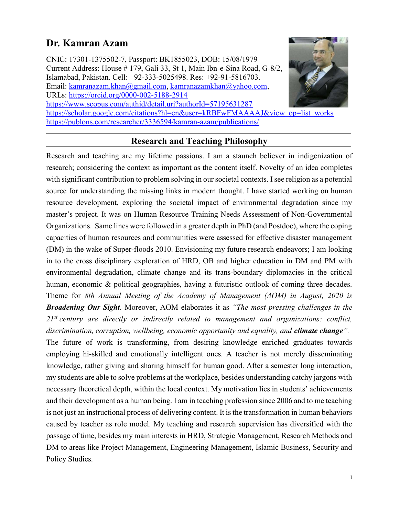# Dr. Kamran Azam

CNIC: 17301-1375502-7, Passport: BK1855023, DOB: 15/08/1979 Current Address: House # 179, Gali 33, St 1, Main Ibn-e-Sina Road, G-8/2, Islamabad, Pakistan. Cell: +92-333-5025498. Res: +92-91-5816703. Email: kamranazam.khan@gmail.com, kamranazamkhan@yahoo.com, URLs: https://orcid.org/0000-002-5188-2914 https://www.scopus.com/authid/detail.uri?authorId=57195631287 https://scholar.google.com/citations?hl=en&user=kRBFwFMAAAAJ&view\_op=list\_works https://publons.com/researcher/3336594/kamran-azam/publications/



# Research and Teaching Philosophy

Research and teaching are my lifetime passions. I am a staunch believer in indigenization of research; considering the context as important as the content itself. Novelty of an idea completes with significant contribution to problem solving in our societal contexts. I see religion as a potential source for understanding the missing links in modern thought. I have started working on human resource development, exploring the societal impact of environmental degradation since my master's project. It was on Human Resource Training Needs Assessment of Non-Governmental Organizations. Same lines were followed in a greater depth in PhD (and Postdoc), where the coping capacities of human resources and communities were assessed for effective disaster management (DM) in the wake of Super-floods 2010. Envisioning my future research endeavors; I am looking in to the cross disciplinary exploration of HRD, OB and higher education in DM and PM with environmental degradation, climate change and its trans-boundary diplomacies in the critical human, economic & political geographies, having a futuristic outlook of coming three decades. Theme for 8th Annual Meeting of the Academy of Management (AOM) in August, 2020 is **Broadening Our Sight**. Moreover, AOM elaborates it as "The most pressing challenges in the  $21^{st}$  century are directly or indirectly related to management and organizations: conflict, discrimination, corruption, wellbeing, economic opportunity and equality, and climate change".

The future of work is transforming, from desiring knowledge enriched graduates towards employing hi-skilled and emotionally intelligent ones. A teacher is not merely disseminating knowledge, rather giving and sharing himself for human good. After a semester long interaction, my students are able to solve problems at the workplace, besides understanding catchy jargons with necessary theoretical depth, within the local context. My motivation lies in students' achievements and their development as a human being. I am in teaching profession since 2006 and to me teaching is not just an instructional process of delivering content. It is the transformation in human behaviors caused by teacher as role model. My teaching and research supervision has diversified with the passage of time, besides my main interests in HRD, Strategic Management, Research Methods and DM to areas like Project Management, Engineering Management, Islamic Business, Security and Policy Studies.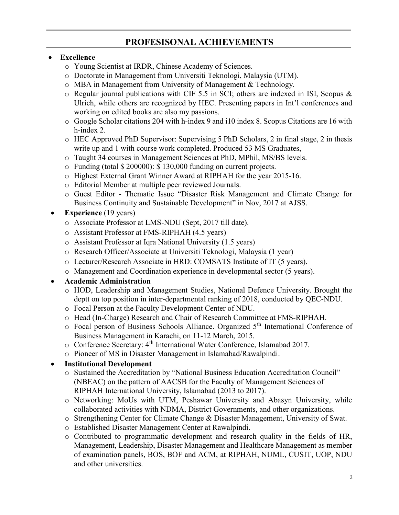# PROFESISONAL ACHIEVEMENTS

## Excellence

- o Young Scientist at IRDR, Chinese Academy of Sciences.
- o Doctorate in Management from Universiti Teknologi, Malaysia (UTM).
- o MBA in Management from University of Management & Technology.
- o Regular journal publications with CIF 5.5 in SCI; others are indexed in ISI, Scopus & Ulrich, while others are recognized by HEC. Presenting papers in Int'l conferences and working on edited books are also my passions.
- o Google Scholar citations 204 with h-index 9 and i10 index 8. Scopus Citations are 16 with h-index 2.
- o HEC Approved PhD Supervisor: Supervising 5 PhD Scholars, 2 in final stage, 2 in thesis write up and 1 with course work completed. Produced 53 MS Graduates,
- o Taught 34 courses in Management Sciences at PhD, MPhil, MS/BS levels.
- o Funding (total \$ 200000): \$ 130,000 funding on current projects.
- o Highest External Grant Winner Award at RIPHAH for the year 2015-16.
- o Editorial Member at multiple peer reviewed Journals.
- o Guest Editor Thematic Issue "Disaster Risk Management and Climate Change for Business Continuity and Sustainable Development" in Nov, 2017 at AJSS.
- Experience (19 years)
	- o Associate Professor at LMS-NDU (Sept, 2017 till date).
	- o Assistant Professor at FMS-RIPHAH (4.5 years)
	- o Assistant Professor at Iqra National University (1.5 years)
	- o Research Officer/Associate at Universiti Teknologi, Malaysia (1 year)
	- o Lecturer/Research Associate in HRD: COMSATS Institute of IT (5 years).
	- o Management and Coordination experience in developmental sector (5 years).

# Academic Administration

- o HOD, Leadership and Management Studies, National Defence University. Brought the deptt on top position in inter-departmental ranking of 2018, conducted by QEC-NDU.
- o Focal Person at the Faculty Development Center of NDU.
- o Head (In-Charge) Research and Chair of Research Committee at FMS-RIPHAH.
- o Focal person of Business Schools Alliance. Organized 5<sup>th</sup> International Conference of Business Management in Karachi, on 11-12 March, 2015.
- o Conference Secretary: 4th International Water Conference, Islamabad 2017.
- o Pioneer of MS in Disaster Management in Islamabad/Rawalpindi.

# Institutional Development

- o Sustained the Accreditation by "National Business Education Accreditation Council" (NBEAC) on the pattern of AACSB for the Faculty of Management Sciences of RIPHAH International University, Islamabad (2013 to 2017).
- o Networking: MoUs with UTM, Peshawar University and Abasyn University, while collaborated activities with NDMA, District Governments, and other organizations.
- o Strengthening Center for Climate Change & Disaster Management, University of Swat.
- o Established Disaster Management Center at Rawalpindi.
- o Contributed to programmatic development and research quality in the fields of HR, Management, Leadership, Disaster Management and Healthcare Management as member of examination panels, BOS, BOF and ACM, at RIPHAH, NUML, CUSIT, UOP, NDU and other universities.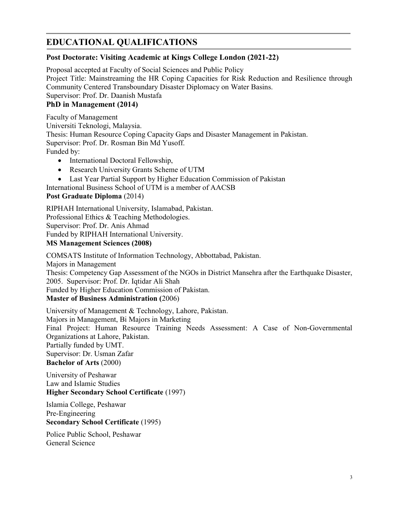# EDUCATIONAL QUALIFICATIONS

### Post Doctorate: Visiting Academic at Kings College London (2021-22)

Proposal accepted at Faculty of Social Sciences and Public Policy Project Title: Mainstreaming the HR Coping Capacities for Risk Reduction and Resilience through Community Centered Transboundary Disaster Diplomacy on Water Basins. Supervisor: Prof. Dr. Daanish Mustafa

### PhD in Management (2014)

Faculty of Management Universiti Teknologi, Malaysia. Thesis: Human Resource Coping Capacity Gaps and Disaster Management in Pakistan. Supervisor: Prof. Dr. Rosman Bin Md Yusoff. Funded by:

- International Doctoral Fellowship,
- Research University Grants Scheme of UTM
- Last Year Partial Support by Higher Education Commission of Pakistan

International Business School of UTM is a member of AACSB

#### Post Graduate Diploma (2014)

RIPHAH International University, Islamabad, Pakistan. Professional Ethics & Teaching Methodologies. Supervisor: Prof. Dr. Anis Ahmad Funded by RIPHAH International University. MS Management Sciences (2008)

COMSATS Institute of Information Technology, Abbottabad, Pakistan. Majors in Management Thesis: Competency Gap Assessment of the NGOs in District Mansehra after the Earthquake Disaster, 2005. Supervisor: Prof. Dr. Iqtidar Ali Shah Funded by Higher Education Commission of Pakistan. Master of Business Administration (2006)

University of Management & Technology, Lahore, Pakistan. Majors in Management, Bi Majors in Marketing Final Project: Human Resource Training Needs Assessment: A Case of Non-Governmental Organizations at Lahore, Pakistan. Partially funded by UMT. Supervisor: Dr. Usman Zafar Bachelor of Arts (2000)

University of Peshawar Law and Islamic Studies Higher Secondary School Certificate (1997)

Islamia College, Peshawar Pre-Engineering Secondary School Certificate (1995)

Police Public School, Peshawar General Science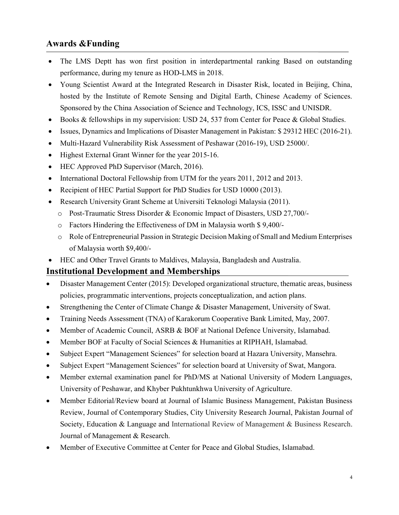# Awards &Funding

- The LMS Deptt has won first position in interdepartmental ranking Based on outstanding performance, during my tenure as HOD-LMS in 2018.
- Young Scientist Award at the Integrated Research in Disaster Risk, located in Beijing, China, hosted by the Institute of Remote Sensing and Digital Earth, Chinese Academy of Sciences. Sponsored by the China Association of Science and Technology, ICS, ISSC and UNISDR.
- Books & fellowships in my supervision: USD 24, 537 from Center for Peace & Global Studies.
- Issues, Dynamics and Implications of Disaster Management in Pakistan: \$ 29312 HEC (2016-21).
- Multi-Hazard Vulnerability Risk Assessment of Peshawar (2016-19), USD 25000/.
- Highest External Grant Winner for the year 2015-16.
- HEC Approved PhD Supervisor (March, 2016).
- International Doctoral Fellowship from UTM for the years 2011, 2012 and 2013.
- Recipient of HEC Partial Support for PhD Studies for USD 10000 (2013).
- Research University Grant Scheme at Universiti Teknologi Malaysia (2011).
	- o Post-Traumatic Stress Disorder & Economic Impact of Disasters, USD 27,700/-
	- o Factors Hindering the Effectiveness of DM in Malaysia worth \$ 9,400/-
	- o Role of Entrepreneurial Passion in Strategic Decision Making of Small and Medium Enterprises of Malaysia worth \$9,400/-
- HEC and Other Travel Grants to Maldives, Malaysia, Bangladesh and Australia.

# Institutional Development and Memberships

- Disaster Management Center (2015): Developed organizational structure, thematic areas, business policies, programmatic interventions, projects conceptualization, and action plans.
- Strengthening the Center of Climate Change & Disaster Management, University of Swat.
- Training Needs Assessment (TNA) of Karakorum Cooperative Bank Limited, May, 2007.
- Member of Academic Council, ASRB & BOF at National Defence University, Islamabad.
- Member BOF at Faculty of Social Sciences & Humanities at RIPHAH, Islamabad.
- Subject Expert "Management Sciences" for selection board at Hazara University, Mansehra.
- Subject Expert "Management Sciences" for selection board at University of Swat, Mangora.
- Member external examination panel for PhD/MS at National University of Modern Languages, University of Peshawar, and Khyber Pukhtunkhwa University of Agriculture.
- Member Editorial/Review board at Journal of Islamic Business Management, Pakistan Business Review, Journal of Contemporary Studies, City University Research Journal, Pakistan Journal of Society, Education & Language and International Review of Management & Business Research. Journal of Management & Research.
- Member of Executive Committee at Center for Peace and Global Studies, Islamabad.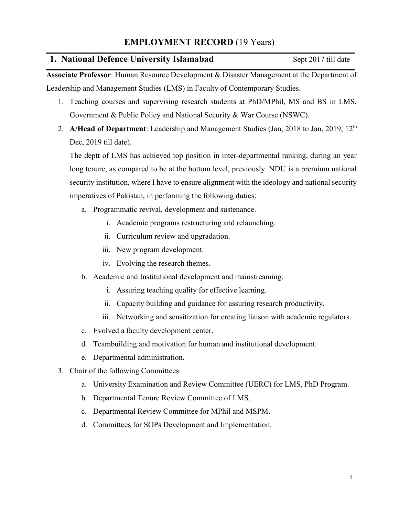### 1. National Defence University Islamabad Sept 2017 till date

Associate Professor: Human Resource Development & Disaster Management at the Department of Leadership and Management Studies (LMS) in Faculty of Contemporary Studies.

- 1. Teaching courses and supervising research students at PhD/MPhil, MS and BS in LMS, Government & Public Policy and National Security & War Course (NSWC).
- 2. A/Head of Department: Leadership and Management Studies (Jan, 2018 to Jan, 2019; 12<sup>th</sup> Dec, 2019 till date).

The deptt of LMS has achieved top position in inter-departmental ranking, during an year long tenure, as compared to be at the bottom level, previously. NDU is a premium national security institution, where I have to ensure alignment with the ideology and national security imperatives of Pakistan, in performing the following duties:

- a. Programmatic revival, development and sustenance.
	- i. Academic programs restructuring and relaunching.
	- ii. Curriculum review and upgradation.
	- iii. New program development.
	- iv. Evolving the research themes.
- b. Academic and Institutional development and mainstreaming.
	- i. Assuring teaching quality for effective learning.
	- ii. Capacity building and guidance for assuring research productivity.
	- iii. Networking and sensitization for creating liaison with academic regulators.
- c. Evolved a faculty development center.
- d. Teambuilding and motivation for human and institutional development.
- e. Departmental administration.
- 3. Chair of the following Committees:
	- a. University Examination and Review Committee (UERC) for LMS, PhD Program.
	- b. Departmental Tenure Review Committee of LMS.
	- c. Departmental Review Committee for MPhil and MSPM.
	- d. Committees for SOPs Development and Implementation.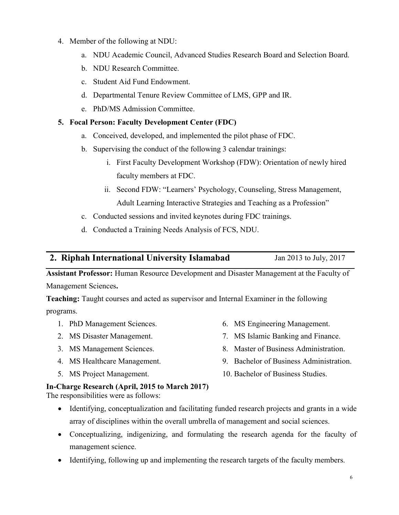- 4. Member of the following at NDU:
	- a. NDU Academic Council, Advanced Studies Research Board and Selection Board.
	- b. NDU Research Committee.
	- c. Student Aid Fund Endowment.
	- d. Departmental Tenure Review Committee of LMS, GPP and IR.
	- e. PhD/MS Admission Committee.

#### 5. Focal Person: Faculty Development Center (FDC)

- a. Conceived, developed, and implemented the pilot phase of FDC.
- b. Supervising the conduct of the following 3 calendar trainings:
	- i. First Faculty Development Workshop (FDW): Orientation of newly hired faculty members at FDC.
	- ii. Second FDW: "Learners' Psychology, Counseling, Stress Management, Adult Learning Interactive Strategies and Teaching as a Profession"
- c. Conducted sessions and invited keynotes during FDC trainings.
- d. Conducted a Training Needs Analysis of FCS, NDU.

### 2. Riphah International University Islamabad Jan 2013 to July, 2017

Assistant Professor: Human Resource Development and Disaster Management at the Faculty of Management Sciences.

Teaching: Taught courses and acted as supervisor and Internal Examiner in the following programs.

- 1. PhD Management Sciences.
- 2. MS Disaster Management.
- 3. MS Management Sciences.
- 4. MS Healthcare Management.
- 5. MS Project Management.
- 6. MS Engineering Management.
- 7. MS Islamic Banking and Finance.
- 8. Master of Business Administration.
- 9. Bachelor of Business Administration.
- 10. Bachelor of Business Studies.

### In-Charge Research (April, 2015 to March 2017)

The responsibilities were as follows:

- Identifying, conceptualization and facilitating funded research projects and grants in a wide array of disciplines within the overall umbrella of management and social sciences.
- Conceptualizing, indigenizing, and formulating the research agenda for the faculty of management science.
- Identifying, following up and implementing the research targets of the faculty members.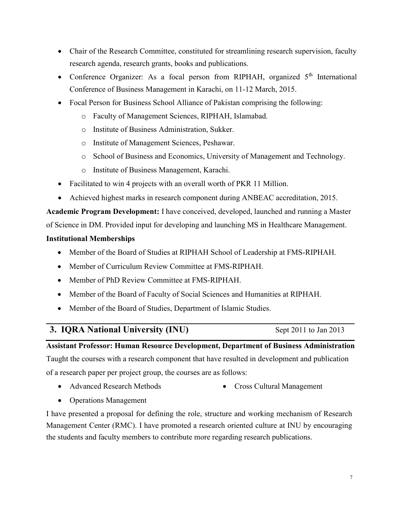- Chair of the Research Committee, constituted for streamlining research supervision, faculty research agenda, research grants, books and publications.
- Conference Organizer: As a focal person from RIPHAH, organized  $5<sup>th</sup>$  International Conference of Business Management in Karachi, on 11-12 March, 2015.
- Focal Person for Business School Alliance of Pakistan comprising the following:
	- o Faculty of Management Sciences, RIPHAH, Islamabad.
	- o Institute of Business Administration, Sukker.
	- o Institute of Management Sciences, Peshawar.
	- o School of Business and Economics, University of Management and Technology.
	- o Institute of Business Management, Karachi.
- Facilitated to win 4 projects with an overall worth of PKR 11 Million.
- Achieved highest marks in research component during ANBEAC accreditation, 2015.

Academic Program Development: I have conceived, developed, launched and running a Master

of Science in DM. Provided input for developing and launching MS in Healthcare Management.

#### Institutional Memberships

- Member of the Board of Studies at RIPHAH School of Leadership at FMS-RIPHAH.
- Member of Curriculum Review Committee at FMS-RIPHAH.
- Member of PhD Review Committee at FMS-RIPHAH.
- Member of the Board of Faculty of Social Sciences and Humanities at RIPHAH.
- Member of the Board of Studies, Department of Islamic Studies.

# 3. IQRA National University (INU) Sept 2011 to Jan 2013

### Assistant Professor: Human Resource Development, Department of Business Administration

Taught the courses with a research component that have resulted in development and publication of a research paper per project group, the courses are as follows:

- Advanced Research Methods
- Cross Cultural Management

• Operations Management

I have presented a proposal for defining the role, structure and working mechanism of Research Management Center (RMC). I have promoted a research oriented culture at INU by encouraging the students and faculty members to contribute more regarding research publications.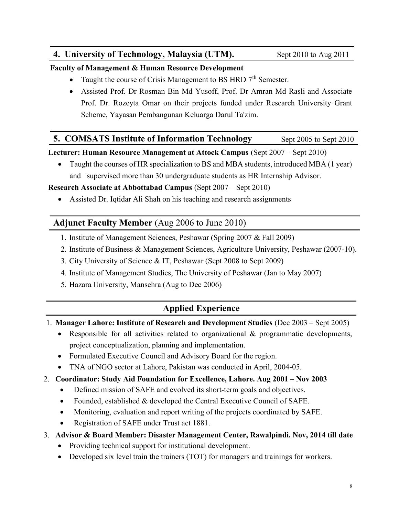# 4. University of Technology, Malaysia (UTM). Sept 2010 to Aug 2011

#### Faculty of Management & Human Resource Development

- Taught the course of Crisis Management to BS HRD  $7<sup>th</sup>$  Semester.
- Assisted Prof. Dr Rosman Bin Md Yusoff, Prof. Dr Amran Md Rasli and Associate Prof. Dr. Rozeyta Omar on their projects funded under Research University Grant Scheme, Yayasan Pembangunan Keluarga Darul Ta'zim.

# **5. COMSATS Institute of Information Technology** Sept 2005 to Sept 2010

Lecturer: Human Resource Management at Attock Campus (Sept 2007 – Sept 2010)

 Taught the courses of HR specialization to BS and MBA students, introduced MBA (1 year) and supervised more than 30 undergraduate students as HR Internship Advisor.

## Research Associate at Abbottabad Campus (Sept 2007 – Sept 2010)

• Assisted Dr. Iqtidar Ali Shah on his teaching and research assignments

# Adjunct Faculty Member (Aug 2006 to June 2010)

- 1. Institute of Management Sciences, Peshawar (Spring 2007 & Fall 2009)
- 2. Institute of Business & Management Sciences, Agriculture University, Peshawar (2007-10).
- 3. City University of Science & IT, Peshawar (Sept 2008 to Sept 2009)
- 4. Institute of Management Studies, The University of Peshawar (Jan to May 2007)
- 5. Hazara University, Mansehra (Aug to Dec 2006)

# Applied Experience

- 1. Manager Lahore: Institute of Research and Development Studies (Dec 2003 Sept 2005)
	- Responsible for all activities related to organizational & programmatic developments, project conceptualization, planning and implementation.
	- Formulated Executive Council and Advisory Board for the region.
	- TNA of NGO sector at Lahore, Pakistan was conducted in April, 2004-05.

# 2. Coordinator: Study Aid Foundation for Excellence, Lahore. Aug 2001 – Nov 2003

- Defined mission of SAFE and evolved its short-term goals and objectives.
- Founded, established & developed the Central Executive Council of SAFE.
- Monitoring, evaluation and report writing of the projects coordinated by SAFE.
- Registration of SAFE under Trust act 1881.

# 3. Advisor & Board Member: Disaster Management Center, Rawalpindi. Nov, 2014 till date

- Providing technical support for institutional development.
- Developed six level train the trainers (TOT) for managers and trainings for workers.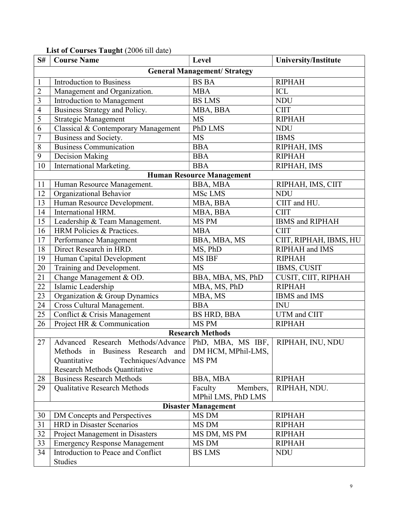| S#                                  | <b>Course Name</b>                                                       | Level               | <b>University/Institute</b> |  |  |  |  |
|-------------------------------------|--------------------------------------------------------------------------|---------------------|-----------------------------|--|--|--|--|
|                                     | <b>General Management/ Strategy</b>                                      |                     |                             |  |  |  |  |
| $\mathbf{1}$                        | <b>Introduction to Business</b>                                          | <b>BS BA</b>        | <b>RIPHAH</b>               |  |  |  |  |
| $\overline{2}$                      | Management and Organization.                                             | <b>MBA</b>          | ICL                         |  |  |  |  |
| $\overline{\mathbf{3}}$             | Introduction to Management                                               | <b>BS LMS</b>       | <b>NDU</b>                  |  |  |  |  |
| $\overline{4}$                      | Business Strategy and Policy.                                            | MBA, BBA            | <b>CIIT</b>                 |  |  |  |  |
| 5                                   | Strategic Management                                                     | <b>MS</b>           | <b>RIPHAH</b>               |  |  |  |  |
| 6                                   | Classical & Contemporary Management                                      | PhD LMS             | <b>NDU</b>                  |  |  |  |  |
| $\overline{7}$                      | Business and Society.                                                    | <b>MS</b>           | <b>IBMS</b>                 |  |  |  |  |
| $\,8\,$                             | <b>Business Communication</b>                                            | <b>BBA</b>          | RIPHAH, IMS                 |  |  |  |  |
| 9                                   | Decision Making                                                          | <b>BBA</b>          | <b>RIPHAH</b>               |  |  |  |  |
| 10                                  | International Marketing.                                                 | <b>BBA</b>          | RIPHAH, IMS                 |  |  |  |  |
|                                     | <b>Human Resource Management</b>                                         |                     |                             |  |  |  |  |
| 11                                  | Human Resource Management.                                               | BBA, MBA            | RIPHAH, IMS, CIIT           |  |  |  |  |
| 12                                  | Organizational Behavior                                                  | MSc LMS             | <b>NDU</b>                  |  |  |  |  |
| 13                                  | Human Resource Development.                                              | MBA, BBA            | CIIT and HU.                |  |  |  |  |
| 14                                  | International HRM.                                                       | MBA, BBA            | <b>CIIT</b>                 |  |  |  |  |
| 15                                  | Leadership & Team Management.                                            | MS PM               | IBMS and RIPHAH             |  |  |  |  |
| 16                                  | HRM Policies & Practices.                                                | <b>MBA</b>          | <b>CIIT</b>                 |  |  |  |  |
| 17                                  | Performance Management                                                   | BBA, MBA, MS        | CIIT, RIPHAH, IBMS, HU      |  |  |  |  |
| 18                                  | Direct Research in HRD.                                                  | MS, PhD             | RIPHAH and IMS              |  |  |  |  |
| 19                                  | Human Capital Development                                                | MS IBF              | <b>RIPHAH</b>               |  |  |  |  |
| 20                                  | Training and Development.                                                | <b>MS</b>           | IBMS, CUSIT                 |  |  |  |  |
| 21                                  | Change Management & OD.                                                  | BBA, MBA, MS, PhD   | CUSIT, CIIT, RIPHAH         |  |  |  |  |
| $22\,$                              | Islamic Leadership                                                       | MBA, MS, PhD        | <b>RIPHAH</b>               |  |  |  |  |
| 23                                  | Organization & Group Dynamics                                            | MBA, MS             | IBMS and IMS                |  |  |  |  |
| 24                                  | Cross Cultural Management.                                               | <b>BBA</b>          | <b>INU</b>                  |  |  |  |  |
| 25                                  | Conflict & Crisis Management                                             | <b>BS HRD, BBA</b>  | UTM and CIIT                |  |  |  |  |
| 26                                  | Project HR & Communication                                               | MS PM               | <b>RIPHAH</b>               |  |  |  |  |
|                                     | <b>Research Methods</b>                                                  |                     |                             |  |  |  |  |
| 27                                  | Advanced Research Methods/Advance   PhD, MBA, MS IBF,   RIPHAH, INU, NDU |                     |                             |  |  |  |  |
|                                     | Methods in Business Research and                                         | DM HCM, MPhil-LMS,  |                             |  |  |  |  |
|                                     | Quantitative<br>Techniques/Advance                                       | MS PM               |                             |  |  |  |  |
|                                     | Research Methods Quantitative                                            |                     |                             |  |  |  |  |
| 28                                  | <b>Business Research Methods</b>                                         | BBA, MBA            | <b>RIPHAH</b>               |  |  |  |  |
| 29                                  | Qualitative Research Methods                                             | Faculty<br>Members, | RIPHAH, NDU.                |  |  |  |  |
|                                     |                                                                          | MPhil LMS, PhD LMS  |                             |  |  |  |  |
| <b>Disaster Management</b><br>MS DM |                                                                          |                     |                             |  |  |  |  |
| 30                                  | DM Concepts and Perspectives<br><b>HRD</b> in Disaster Scenarios         |                     | <b>RIPHAH</b>               |  |  |  |  |
| 31<br>32                            |                                                                          | MS DM               | <b>RIPHAH</b>               |  |  |  |  |
|                                     | Project Management in Disasters                                          | MS DM, MS PM        | <b>RIPHAH</b>               |  |  |  |  |
| 33                                  | <b>Emergency Response Management</b>                                     | MS DM               | <b>RIPHAH</b>               |  |  |  |  |
| 34                                  | Introduction to Peace and Conflict<br>Studies                            | <b>BS LMS</b>       | <b>NDU</b>                  |  |  |  |  |

# List of Courses Taught (2006 till date)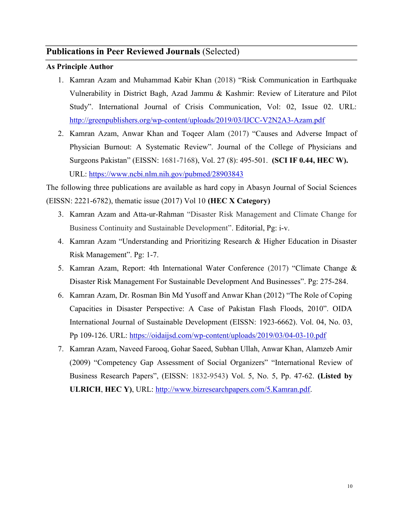# Publications in Peer Reviewed Journals (Selected)

#### As Principle Author

- 1. Kamran Azam and Muhammad Kabir Khan (2018) "Risk Communication in Earthquake Vulnerability in District Bagh, Azad Jammu & Kashmir: Review of Literature and Pilot Study". International Journal of Crisis Communication, Vol: 02, Issue 02. URL: http://greenpublishers.org/wp-content/uploads/2019/03/IJCC-V2N2A3-Azam.pdf
- 2. Kamran Azam, Anwar Khan and Toqeer Alam (2017) "Causes and Adverse Impact of Physician Burnout: A Systematic Review". Journal of the College of Physicians and Surgeons Pakistan" (EISSN: 1681-7168), Vol. 27 (8): 495-501. (SCI IF 0.44, HEC W). URL: https://www.ncbi.nlm.nih.gov/pubmed/28903843

The following three publications are available as hard copy in Abasyn Journal of Social Sciences (EISSN: 2221-6782), thematic issue (2017) Vol 10 (HEC X Category)

- 3. Kamran Azam and Atta-ur-Rahman "Disaster Risk Management and Climate Change for Business Continuity and Sustainable Development". Editorial, Pg: i-v.
- 4. Kamran Azam "Understanding and Prioritizing Research & Higher Education in Disaster Risk Management". Pg: 1-7.
- 5. Kamran Azam, Report: 4th International Water Conference (2017) "Climate Change & Disaster Risk Management For Sustainable Development And Businesses". Pg: 275-284.
- 6. Kamran Azam, Dr. Rosman Bin Md Yusoff and Anwar Khan (2012) "The Role of Coping Capacities in Disaster Perspective: A Case of Pakistan Flash Floods, 2010". OIDA International Journal of Sustainable Development (EISSN: 1923-6662). Vol. 04, No. 03, Pp 109-126. URL: https://oidaijsd.com/wp-content/uploads/2019/03/04-03-10.pdf
- 7. Kamran Azam, Naveed Farooq, Gohar Saeed, Subhan Ullah, Anwar Khan, Alamzeb Amir (2009) "Competency Gap Assessment of Social Organizers" "International Review of Business Research Papers", (EISSN: 1832-9543) Vol. 5, No. 5, Pp. 47-62. (Listed by ULRICH, HEC Y), URL: http://www.bizresearchpapers.com/5.Kamran.pdf.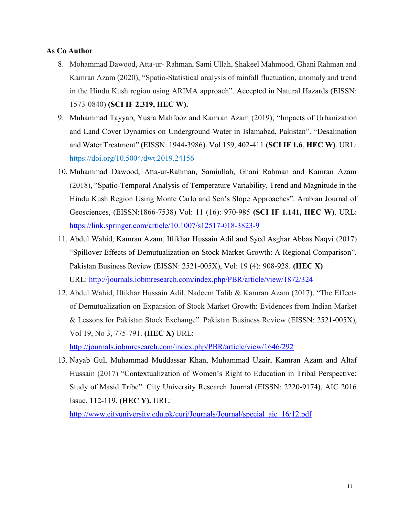#### As Co Author

- 8. Mohammad Dawood, Atta-ur- Rahman, Sami Ullah, Shakeel Mahmood, Ghani Rahman and Kamran Azam (2020), "Spatio-Statistical analysis of rainfall fluctuation, anomaly and trend in the Hindu Kush region using ARIMA approach". Accepted in Natural Hazards (EISSN: 1573-0840) (SCI IF 2.319, HEC W).
- 9. Muhammad Tayyab, Yusra Mahfooz and Kamran Azam (2019), "Impacts of Urbanization and Land Cover Dynamics on Underground Water in Islamabad, Pakistan". "Desalination and Water Treatment" (EISSN: 1944-3986). Vol 159, 402-411 (SCI IF 1.6, HEC W). URL: https://doi.org/10.5004/dwt.2019.24156
- 10. Muhammad Dawood, Atta-ur-Rahman, Samiullah, Ghani Rahman and Kamran Azam (2018), "Spatio-Temporal Analysis of Temperature Variability, Trend and Magnitude in the Hindu Kush Region Using Monte Carlo and Sen's Slope Approaches". Arabian Journal of Geosciences, (EISSN:1866-7538) Vol: 11 (16): 970-985 (SCI IF 1.141, HEC W). URL: https://link.springer.com/article/10.1007/s12517-018-3823-9
- 11. Abdul Wahid, Kamran Azam, Iftikhar Hussain Adil and Syed Asghar Abbas Naqvi (2017) "Spillover Effects of Demutualization on Stock Market Growth: A Regional Comparison". Pakistan Business Review (EISSN: 2521-005X), Vol: 19 (4): 908-928. (HEC X) URL: http://journals.iobmresearch.com/index.php/PBR/article/view/1872/324
- 12. Abdul Wahid, Iftikhar Hussain Adil, Nadeem Talib & Kamran Azam (2017), "The Effects of Demutualization on Expansion of Stock Market Growth: Evidences from Indian Market & Lessons for Pakistan Stock Exchange". Pakistan Business Review (EISSN: 2521-005X), Vol 19, No 3, 775-791. (HEC X) URL:

http://journals.iobmresearch.com/index.php/PBR/article/view/1646/292

13. Nayab Gul, Muhammad Muddassar Khan, Muhammad Uzair, Kamran Azam and Altaf Hussain (2017) "Contextualization of Women's Right to Education in Tribal Perspective: Study of Masid Tribe". City University Research Journal (EISSN: 2220-9174), AIC 2016 Issue, 112-119. (HEC Y). URL:

http://www.cityuniversity.edu.pk/curj/Journals/Journal/special aic 16/12.pdf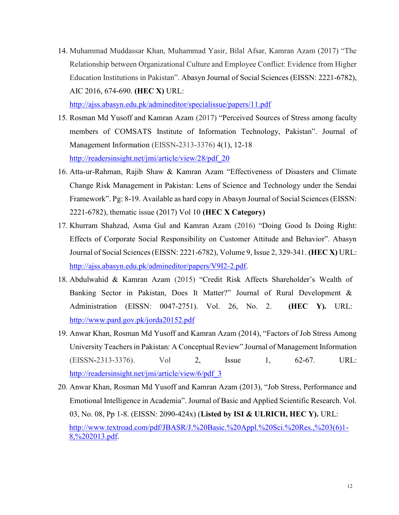14. Muhammad Muddassar Khan, Muhammad Yasir, Bilal Afsar, Kamran Azam (2017) "The Relationship between Organizational Culture and Employee Conflict: Evidence from Higher Education Institutions in Pakistan". Abasyn Journal of Social Sciences (EISSN: 2221-6782), AIC 2016, 674-690. (HEC X) URL:

http://ajss.abasyn.edu.pk/admineditor/specialissue/papers/11.pdf

- 15. Rosman Md Yusoff and Kamran Azam (2017) "Perceived Sources of Stress among faculty members of COMSATS Institute of Information Technology, Pakistan". Journal of Management Information (EISSN-2313-3376) 4(1), 12-18 http://readersinsight.net/jmi/article/view/28/pdf\_20
- 16. Atta-ur-Rahman, Rajib Shaw & Kamran Azam "Effectiveness of Disasters and Climate Change Risk Management in Pakistan: Lens of Science and Technology under the Sendai Framework". Pg: 8-19. Available as hard copy in Abasyn Journal of Social Sciences (EISSN: 2221-6782), thematic issue (2017) Vol 10 (HEC X Category)
- 17. Khurram Shahzad, Asma Gul and Kamran Azam (2016) "Doing Good Is Doing Right: Effects of Corporate Social Responsibility on Customer Attitude and Behavior". Abasyn Journal of Social Sciences (EISSN: 2221-6782), Volume 9, Issue 2, 329-341. (HEC X) URL: http://ajss.abasyn.edu.pk/admineditor/papers/V9I2-2.pdf.
- 18. Abdulwahid & Kamran Azam (2015) "Credit Risk Affects Shareholder's Wealth of Banking Sector in Pakistan, Does It Matter?" Journal of Rural Development & Administration (EISSN: 0047-2751). Vol. 26, No. 2. (HEC Y). URL: http://www.pard.gov.pk/jorda20152.pdf
- 19. Anwar Khan, Rosman Md Yusoff and Kamran Azam (2014), "Factors of Job Stress Among University Teachers in Pakistan: A Conceptual Review" Journal of Management Information (EISSN-2313-3376). Vol 2, Issue 1, 62-67. URL: http://readersinsight.net/jmi/article/view/6/pdf\_3
- 20. Anwar Khan, Rosman Md Yusoff and Kamran Azam (2013), "Job Stress, Performance and Emotional Intelligence in Academia". Journal of Basic and Applied Scientific Research. Vol. 03, No. 08, Pp 1-8. (EISSN: 2090-424x) (Listed by ISI & ULRICH, HEC Y). URL: http://www.textroad.com/pdf/JBASR/J.%20Basic.%20Appl.%20Sci.%20Res.,%203(6)1- 8,%202013.pdf.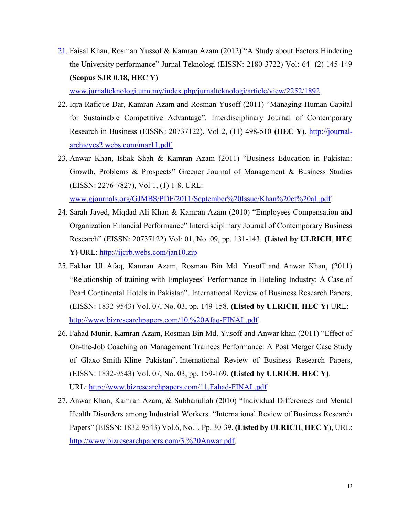21. Faisal Khan, Rosman Yussof & Kamran Azam (2012) "A Study about Factors Hindering the University performance" Jurnal Teknologi (EISSN: 2180-3722) Vol: 64 (2) 145-149 (Scopus SJR 0.18, HEC Y)

www.jurnalteknologi.utm.my/index.php/jurnalteknologi/article/view/2252/1892

- 22. Iqra Rafique Dar, Kamran Azam and Rosman Yusoff (2011) "Managing Human Capital for Sustainable Competitive Advantage". Interdisciplinary Journal of Contemporary Research in Business (EISSN: 20737122), Vol 2, (11) 498-510 (HEC Y). http://journalarchieves2.webs.com/mar11.pdf.
- 23. Anwar Khan, Ishak Shah & Kamran Azam (2011) "Business Education in Pakistan: Growth, Problems & Prospects" Greener Journal of Management & Business Studies (EISSN: 2276-7827), Vol 1, (1) 1-8. URL: www.gjournals.org/GJMBS/PDF/2011/September%20Issue/Khan%20et%20al..pdf
- 24. Sarah Javed, Miqdad Ali Khan & Kamran Azam (2010) "Employees Compensation and Organization Financial Performance" Interdisciplinary Journal of Contemporary Business Research" (EISSN: 20737122) Vol: 01, No. 09, pp. 131-143. (Listed by ULRICH, HEC Y) URL: http://ijcrb.webs.com/jan10.zip
- 25. Fakhar Ul Afaq, Kamran Azam, Rosman Bin Md. Yusoff and Anwar Khan, (2011) "Relationship of training with Employees' Performance in Hoteling Industry: A Case of Pearl Continental Hotels in Pakistan". International Review of Business Research Papers, (EISSN: 1832-9543) Vol. 07, No. 03, pp. 149-158. (Listed by ULRICH, HEC Y) URL: http://www.bizresearchpapers.com/10.%20Afaq-FINAL.pdf.
- 26. Fahad Munir, Kamran Azam, Rosman Bin Md. Yusoff and Anwar khan (2011) "Effect of On-the-Job Coaching on Management Trainees Performance: A Post Merger Case Study of Glaxo-Smith-Kline Pakistan". International Review of Business Research Papers, (EISSN: 1832-9543) Vol. 07, No. 03, pp. 159-169. (Listed by ULRICH, HEC Y). URL: http://www.bizresearchpapers.com/11.Fahad-FINAL.pdf.
- 27. Anwar Khan, Kamran Azam, & Subhanullah (2010) "Individual Differences and Mental Health Disorders among Industrial Workers. "International Review of Business Research Papers" (EISSN: 1832-9543) Vol.6, No.1, Pp. 30-39. (Listed by ULRICH, HEC Y), URL: http://www.bizresearchpapers.com/3.%20Anwar.pdf.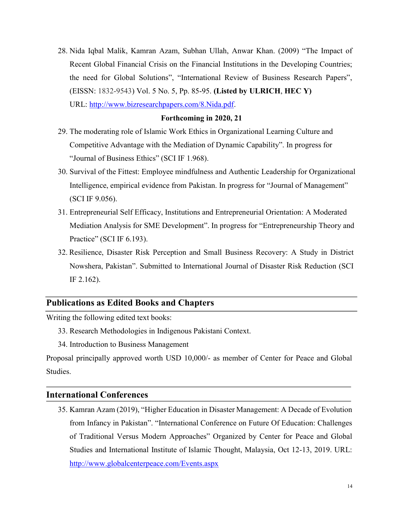28. Nida Iqbal Malik, Kamran Azam, Subhan Ullah, Anwar Khan. (2009) "The Impact of Recent Global Financial Crisis on the Financial Institutions in the Developing Countries; the need for Global Solutions", "International Review of Business Research Papers", (EISSN: 1832-9543) Vol. 5 No. 5, Pp. 85-95. (Listed by ULRICH, HEC Y) URL: http://www.bizresearchpapers.com/8.Nida.pdf.

#### Forthcoming in 2020, 21

- 29. The moderating role of Islamic Work Ethics in Organizational Learning Culture and Competitive Advantage with the Mediation of Dynamic Capability". In progress for "Journal of Business Ethics" (SCI IF 1.968).
- 30. Survival of the Fittest: Employee mindfulness and Authentic Leadership for Organizational Intelligence, empirical evidence from Pakistan. In progress for "Journal of Management" (SCI IF 9.056).
- 31. Entrepreneurial Self Efficacy, Institutions and Entrepreneurial Orientation: A Moderated Mediation Analysis for SME Development". In progress for "Entrepreneurship Theory and Practice" (SCI IF 6.193).
- 32. Resilience, Disaster Risk Perception and Small Business Recovery: A Study in District Nowshera, Pakistan". Submitted to International Journal of Disaster Risk Reduction (SCI IF 2.162).

# Publications as Edited Books and Chapters

Writing the following edited text books:

- 33. Research Methodologies in Indigenous Pakistani Context.
- 34. Introduction to Business Management

Proposal principally approved worth USD 10,000/- as member of Center for Peace and Global Studies.

### International Conferences

35. Kamran Azam (2019), "Higher Education in Disaster Management: A Decade of Evolution from Infancy in Pakistan". "International Conference on Future Of Education: Challenges of Traditional Versus Modern Approaches" Organized by Center for Peace and Global Studies and International Institute of Islamic Thought, Malaysia, Oct 12-13, 2019. URL: http://www.globalcenterpeace.com/Events.aspx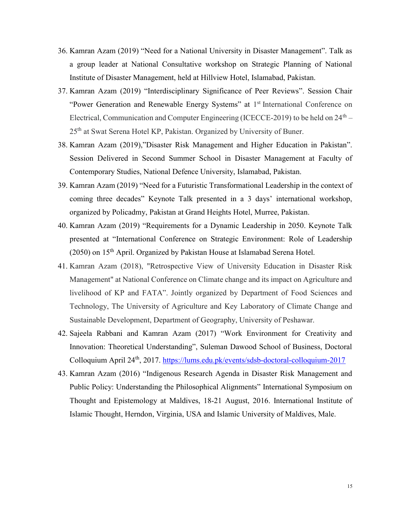- 36. Kamran Azam (2019) "Need for a National University in Disaster Management". Talk as a group leader at National Consultative workshop on Strategic Planning of National Institute of Disaster Management, held at Hillview Hotel, Islamabad, Pakistan.
- 37. Kamran Azam (2019) "Interdisciplinary Significance of Peer Reviews". Session Chair "Power Generation and Renewable Energy Systems" at 1<sup>st</sup> International Conference on Electrical, Communication and Computer Engineering (ICECCE-2019) to be held on  $24<sup>th</sup> -$ 25<sup>th</sup> at Swat Serena Hotel KP, Pakistan. Organized by University of Buner.
- 38. Kamran Azam (2019),"Disaster Risk Management and Higher Education in Pakistan". Session Delivered in Second Summer School in Disaster Management at Faculty of Contemporary Studies, National Defence University, Islamabad, Pakistan.
- 39. Kamran Azam (2019) "Need for a Futuristic Transformational Leadership in the context of coming three decades" Keynote Talk presented in a 3 days' international workshop, organized by Policadmy, Pakistan at Grand Heights Hotel, Murree, Pakistan.
- 40. Kamran Azam (2019) "Requirements for a Dynamic Leadership in 2050. Keynote Talk presented at "International Conference on Strategic Environment: Role of Leadership (2050) on 15th April. Organized by Pakistan House at Islamabad Serena Hotel.
- 41. Kamran Azam (2018), "Retrospective View of University Education in Disaster Risk Management" at National Conference on Climate change and its impact on Agriculture and livelihood of KP and FATA". Jointly organized by Department of Food Sciences and Technology, The University of Agriculture and Key Laboratory of Climate Change and Sustainable Development, Department of Geography, University of Peshawar.
- 42. Sajeela Rabbani and Kamran Azam (2017) "Work Environment for Creativity and Innovation: Theoretical Understanding", Suleman Dawood School of Business, Doctoral Colloquium April 24th, 2017. https://lums.edu.pk/events/sdsb-doctoral-colloquium-2017
- 43. Kamran Azam (2016) "Indigenous Research Agenda in Disaster Risk Management and Public Policy: Understanding the Philosophical Alignments" International Symposium on Thought and Epistemology at Maldives, 18-21 August, 2016. International Institute of Islamic Thought, Herndon, Virginia, USA and Islamic University of Maldives, Male.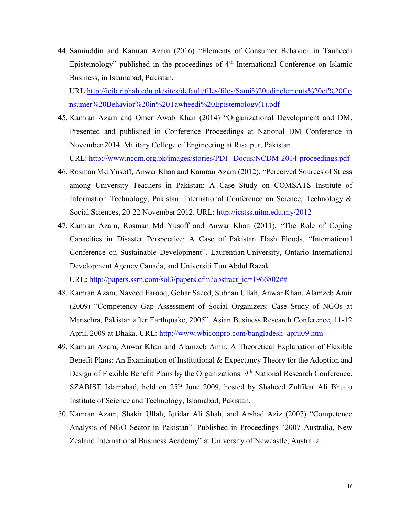44. Samiuddin and Kamran Azam (2016) "Elements of Consumer Behavior in Tauheedi Epistemology" published in the proceedings of  $4<sup>th</sup>$  International Conference on Islamic Business, in Islamabad, Pakistan.

URL:http://icib.riphah.edu.pk/sites/default/files/files/Sami%20udinelements%20of%20Co nsumer%20Behavior%20in%20Tawheedi%20Epistemology(1).pdf

45. Kamran Azam and Omer Awab Khan (2014) "Organizational Development and DM. Presented and published in Conference Proceedings at National DM Conference in November 2014. Military College of Engineering at Risalpur, Pakistan.

URL: http://www.ncdm.org.pk/images/stories/PDF\_Docus/NCDM-2014-proceedings.pdf

- 46. Rosman Md Yusoff, Anwar Khan and Kamran Azam (2012), "Perceived Sources of Stress among University Teachers in Pakistan: A Case Study on COMSATS Institute of Information Technology, Pakistan. International Conference on Science, Technology & Social Sciences, 20-22 November 2012. URL: http://icstss.uitm.edu.my/2012
- 47. Kamran Azam, Rosman Md Yusoff and Anwar Khan (2011), "The Role of Coping Capacities in Disaster Perspective: A Case of Pakistan Flash Floods. "International Conference on Sustainable Development". Laurentian University, Ontario International Development Agency Canada, and Universiti Tun Abdul Razak. URL: http://papers.ssrn.com/sol3/papers.cfm?abstract\_id=1966802##
- 48. Kamran Azam, Naveed Farooq, Gohar Saeed, Subhan Ullah, Anwar Khan, Alamzeb Amir (2009) "Competency Gap Assessment of Social Organizers: Case Study of NGOs at Mansehra, Pakistan after Earthquake, 2005". Asian Business Research Conference, 11-12 April, 2009 at Dhaka. URL: http://www.wbiconpro.com/bangladesh\_april09.htm
- 49. Kamran Azam, Anwar Khan and Alamzeb Amir. A Theoretical Explanation of Flexible Benefit Plans: An Examination of Institutional & Expectancy Theory for the Adoption and Design of Flexible Benefit Plans by the Organizations. 9<sup>th</sup> National Research Conference, SZABIST Islamabad, held on 25<sup>th</sup> June 2009, hosted by Shaheed Zulfikar Ali Bhutto Institute of Science and Technology, Islamabad, Pakistan.
- 50. Kamran Azam, Shakir Ullah, Iqtidar Ali Shah, and Arshad Aziz (2007) "Competence Analysis of NGO Sector in Pakistan". Published in Proceedings "2007 Australia, New Zealand International Business Academy" at University of Newcastle, Australia.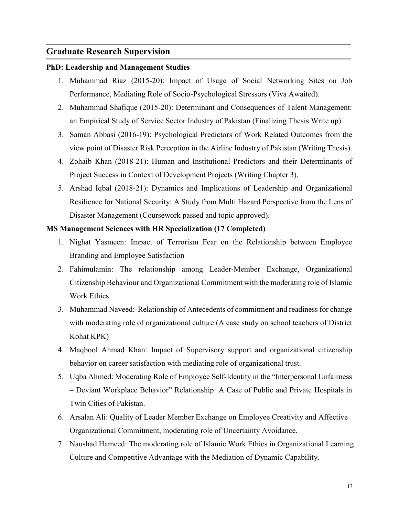### Graduate Research Supervision

#### PhD: Leadership and Management Studies

- 1. Muhammad Riaz (2015-20): Impact of Usage of Social Networking Sites on Job Performance, Mediating Role of Socio-Psychological Stressors (Viva Awaited).
- 2. Muhammad Shafique (2015-20): Determinant and Consequences of Talent Management: an Empirical Study of Service Sector Industry of Pakistan (Finalizing Thesis Write up).
- 3. Saman Abbasi (2016-19): Psychological Predictors of Work Related Outcomes from the view point of Disaster Risk Perception in the Airline Industry of Pakistan (Writing Thesis).
- 4. Zohaib Khan (2018-21): Human and Institutional Predictors and their Determinants of Project Success in Context of Development Projects (Writing Chapter 3).
- 5. Arshad Iqbal (2018-21): Dynamics and Implications of Leadership and Organizational Resilience for National Security: A Study from Multi Hazard Perspective from the Lens of Disaster Management (Coursework passed and topic approved).

#### MS Management Sciences with HR Specialization (17 Completed)

- 1. Nighat Yasmeen: Impact of Terrorism Fear on the Relationship between Employee Branding and Employee Satisfaction
- 2. Fahimulamin: The relationship among Leader-Member Exchange, Organizational Citizenship Behaviour and Organizational Commitment with the moderating role of Islamic Work Ethics.
- 3. Muhammad Naveed: Relationship of Antecedents of commitment and readiness for change with moderating role of organizational culture (A case study on school teachers of District Kohat KPK)
- 4. Maqbool Ahmad Khan: Impact of Supervisory support and organizational citizenship behavior on career satisfaction with mediating role of organizational trust.
- 5. Uqba Ahmed: Moderating Role of Employee Self-Identity in the "Interpersonal Unfairness – Deviant Workplace Behavior" Relationship: A Case of Public and Private Hospitals in Twin Cities of Pakistan.
- 6. Arsalan Ali: Quality of Leader Member Exchange on Employee Creativity and Affective Organizational Commitment, moderating role of Uncertainty Avoidance.
- 7. Naushad Hameed: The moderating role of Islamic Work Ethics in Organizational Learning Culture and Competitive Advantage with the Mediation of Dynamic Capability.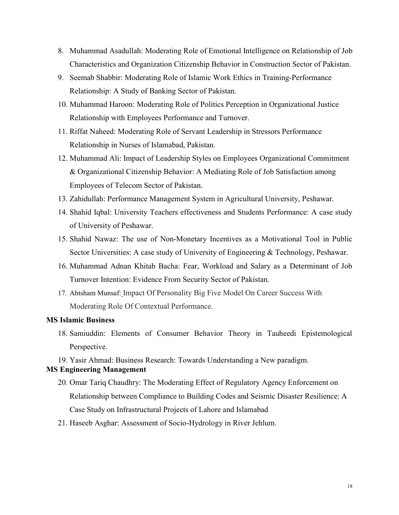- 8. Muhammad Asadullah: Moderating Role of Emotional Intelligence on Relationship of Job Characteristics and Organization Citizenship Behavior in Construction Sector of Pakistan.
- 9. Seemab Shabbir: Moderating Role of Islamic Work Ethics in Training-Performance Relationship: A Study of Banking Sector of Pakistan.
- 10. Muhammad Haroon: Moderating Role of Politics Perception in Organizational Justice Relationship with Employees Performance and Turnover.
- 11. Riffat Naheed: Moderating Role of Servant Leadership in Stressors Performance Relationship in Nurses of Islamabad, Pakistan.
- 12. Muhammad Ali: Impact of Leadership Styles on Employees Organizational Commitment & Organizational Citizenship Behavior: A Mediating Role of Job Satisfaction among Employees of Telecom Sector of Pakistan.
- 13. Zahidullah: Performance Management System in Agricultural University, Peshawar.
- 14. Shahid Iqbal: University Teachers effectiveness and Students Performance: A case study of University of Peshawar.
- 15. Shahid Nawaz: The use of Non-Monetary Incentives as a Motivational Tool in Public Sector Universities: A case study of University of Engineering & Technology, Peshawar.
- 16. Muhammad Adnan Khitab Bacha: Fear, Workload and Salary as a Determinant of Job Turnover Intention: Evidence From Security Sector of Pakistan.
- 17. Ahtsham Munsaf: Impact Of Personality Big Five Model On Career Success With Moderating Role Of Contextual Performance.

#### MS Islamic Business

18. Samiuddin: Elements of Consumer Behavior Theory in Tauheedi Epistemological Perspective.

19. Yasir Ahmad: Business Research: Towards Understanding a New paradigm.

#### MS Engineering Management

- 20. Omar Tariq Chaudhry: The Moderating Effect of Regulatory Agency Enforcement on Relationship between Compliance to Building Codes and Seismic Disaster Resilience: A Case Study on Infrastructural Projects of Lahore and Islamabad
- 21. Haseeb Asghar: Assessment of Socio-Hydrology in River Jehlum.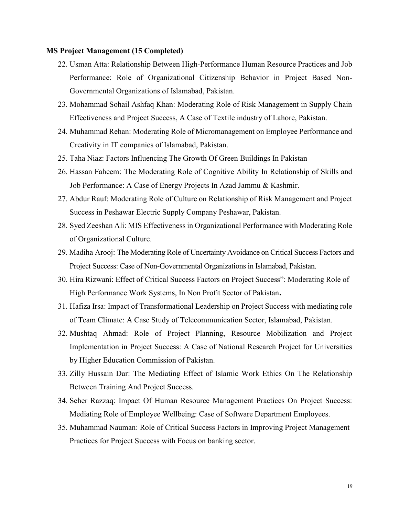#### MS Project Management (15 Completed)

- 22. Usman Atta: Relationship Between High-Performance Human Resource Practices and Job Performance: Role of Organizational Citizenship Behavior in Project Based Non-Governmental Organizations of Islamabad, Pakistan.
- 23. Mohammad Sohail Ashfaq Khan: Moderating Role of Risk Management in Supply Chain Effectiveness and Project Success, A Case of Textile industry of Lahore, Pakistan.
- 24. Muhammad Rehan: Moderating Role of Micromanagement on Employee Performance and Creativity in IT companies of Islamabad, Pakistan.
- 25. Taha Niaz: Factors Influencing The Growth Of Green Buildings In Pakistan
- 26. Hassan Faheem: The Moderating Role of Cognitive Ability In Relationship of Skills and Job Performance: A Case of Energy Projects In Azad Jammu & Kashmir.
- 27. Abdur Rauf: Moderating Role of Culture on Relationship of Risk Management and Project Success in Peshawar Electric Supply Company Peshawar, Pakistan.
- 28. Syed Zeeshan Ali: MIS Effectiveness in Organizational Performance with Moderating Role of Organizational Culture.
- 29. Madiha Arooj: The Moderating Role of Uncertainty Avoidance on Critical Success Factors and Project Success: Case of Non-Governmental Organizations in Islamabad, Pakistan.
- 30. Hira Rizwani: Effect of Critical Success Factors on Project Success": Moderating Role of High Performance Work Systems, In Non Profit Sector of Pakistan.
- 31. Hafiza Irsa: Impact of Transformational Leadership on Project Success with mediating role of Team Climate: A Case Study of Telecommunication Sector, Islamabad, Pakistan.
- 32. Mushtaq Ahmad: Role of Project Planning, Resource Mobilization and Project Implementation in Project Success: A Case of National Research Project for Universities by Higher Education Commission of Pakistan.
- 33. Zilly Hussain Dar: The Mediating Effect of Islamic Work Ethics On The Relationship Between Training And Project Success.
- 34. Seher Razzaq: Impact Of Human Resource Management Practices On Project Success: Mediating Role of Employee Wellbeing: Case of Software Department Employees.
- 35. Muhammad Nauman: Role of Critical Success Factors in Improving Project Management Practices for Project Success with Focus on banking sector.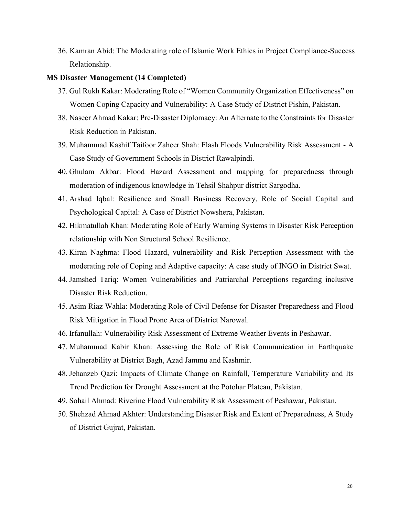36. Kamran Abid: The Moderating role of Islamic Work Ethics in Project Compliance-Success Relationship.

#### MS Disaster Management (14 Completed)

- 37. Gul Rukh Kakar: Moderating Role of "Women Community Organization Effectiveness" on Women Coping Capacity and Vulnerability: A Case Study of District Pishin, Pakistan.
- 38. Naseer Ahmad Kakar: Pre-Disaster Diplomacy: An Alternate to the Constraints for Disaster Risk Reduction in Pakistan.
- 39. Muhammad Kashif Taifoor Zaheer Shah: Flash Floods Vulnerability Risk Assessment A Case Study of Government Schools in District Rawalpindi.
- 40. Ghulam Akbar: Flood Hazard Assessment and mapping for preparedness through moderation of indigenous knowledge in Tehsil Shahpur district Sargodha.
- 41. Arshad Iqbal: Resilience and Small Business Recovery, Role of Social Capital and Psychological Capital: A Case of District Nowshera, Pakistan.
- 42. Hikmatullah Khan: Moderating Role of Early Warning Systems in Disaster Risk Perception relationship with Non Structural School Resilience.
- 43. Kiran Naghma: Flood Hazard, vulnerability and Risk Perception Assessment with the moderating role of Coping and Adaptive capacity: A case study of INGO in District Swat.
- 44. Jamshed Tariq: Women Vulnerabilities and Patriarchal Perceptions regarding inclusive Disaster Risk Reduction.
- 45. Asim Riaz Wahla: Moderating Role of Civil Defense for Disaster Preparedness and Flood Risk Mitigation in Flood Prone Area of District Narowal.
- 46. Irfanullah: Vulnerability Risk Assessment of Extreme Weather Events in Peshawar.
- 47. Muhammad Kabir Khan: Assessing the Role of Risk Communication in Earthquake Vulnerability at District Bagh, Azad Jammu and Kashmir.
- 48. Jehanzeb Qazi: Impacts of Climate Change on Rainfall, Temperature Variability and Its Trend Prediction for Drought Assessment at the Potohar Plateau, Pakistan.
- 49. Sohail Ahmad: Riverine Flood Vulnerability Risk Assessment of Peshawar, Pakistan.
- 50. Shehzad Ahmad Akhter: Understanding Disaster Risk and Extent of Preparedness, A Study of District Gujrat, Pakistan.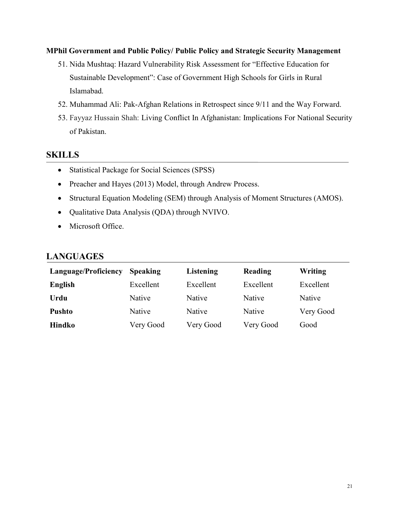#### MPhil Government and Public Policy/ Public Policy and Strategic Security Management

- 51. Nida Mushtaq: Hazard Vulnerability Risk Assessment for "Effective Education for Sustainable Development": Case of Government High Schools for Girls in Rural Islamabad.
- 52. Muhammad Ali: Pak-Afghan Relations in Retrospect since 9/11 and the Way Forward.
- 53. Fayyaz Hussain Shah: Living Conflict In Afghanistan: Implications For National Security of Pakistan.

# **SKILLS**

- Statistical Package for Social Sciences (SPSS)
- Preacher and Hayes (2013) Model, through Andrew Process.
- Structural Equation Modeling (SEM) through Analysis of Moment Structures (AMOS).
- Qualitative Data Analysis (QDA) through NVIVO.
- Microsoft Office.

# LANGUAGES

| Language/Proficiency | <b>Speaking</b> | Listening     | Reading   | Writing   |
|----------------------|-----------------|---------------|-----------|-----------|
| English              | Excellent       | Excellent     | Excellent | Excellent |
| Urdu                 | Native          | <b>Native</b> | Native    | Native    |
| <b>Pushto</b>        | Native          | Native        | Native    | Very Good |
| <b>Hindko</b>        | Very Good       | Very Good     | Very Good | Good      |